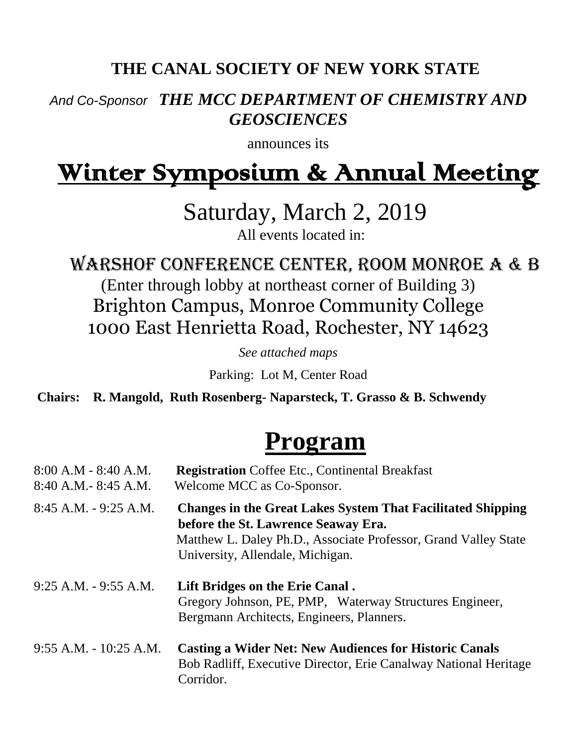### **THE CANAL SOCIETY OF NEW YORK STATE**

### *And Co-Sponsor THE MCC DEPARTMENT OF CHEMISTRY AND GEOSCIENCES*

announces its

# Winter Symposium & Annual Meeting

Saturday, March 2, 2019

All events located in:

#### Warshof Conference Center, Room Monroe A & B

(Enter through lobby at northeast corner of Building 3) Brighton Campus, Monroe Community College 1000 East Henrietta Road, Rochester, NY 14623

*See attached maps*

Parking: Lot M, Center Road

**Chairs: R. Mangold, Ruth Rosenberg- Naparsteck, T. Grasso & B. Schwendy**

## **Program**

| $8:00$ A.M $-$ 8:40 A.M.<br>$8:40$ A.M. $-8:45$ A.M. | <b>Registration</b> Coffee Etc., Continental Breakfast<br>Welcome MCC as Co-Sponsor.                                                                                                                             |
|------------------------------------------------------|------------------------------------------------------------------------------------------------------------------------------------------------------------------------------------------------------------------|
| $8:45$ A.M. $-9:25$ A.M.                             | <b>Changes in the Great Lakes System That Facilitated Shipping</b><br>before the St. Lawrence Seaway Era.<br>Matthew L. Daley Ph.D., Associate Professor, Grand Valley State<br>University, Allendale, Michigan. |
| $9:25$ A.M. $-9:55$ A.M.                             | Lift Bridges on the Erie Canal.<br>Gregory Johnson, PE, PMP, Waterway Structures Engineer,<br>Bergmann Architects, Engineers, Planners.                                                                          |
| $9:55$ A.M. $-10:25$ A.M.                            | <b>Casting a Wider Net: New Audiences for Historic Canals</b><br>Bob Radliff, Executive Director, Erie Canalway National Heritage<br>Corridor.                                                                   |